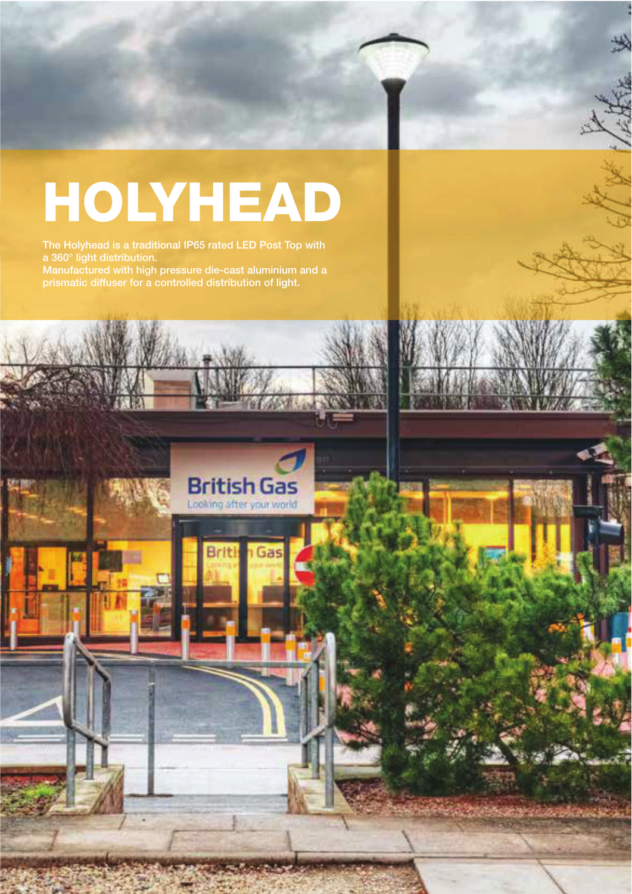## HOLYHEAD

The Holyhead is a traditional IP65 rated LED Post Top with Manufactured with high pressure die-cast aluminium and a prismatic diffuser for a controlled distribution of light.



**Gas** 

**Briti** 

 $\mathcal{A}$  . And  $\mathcal{A}$  is a set of  $\mathcal{A}$  and  $\mathcal{A}$ 

T: 01656 64541 Email: sales @beilighting.com

street and external lighting specialist